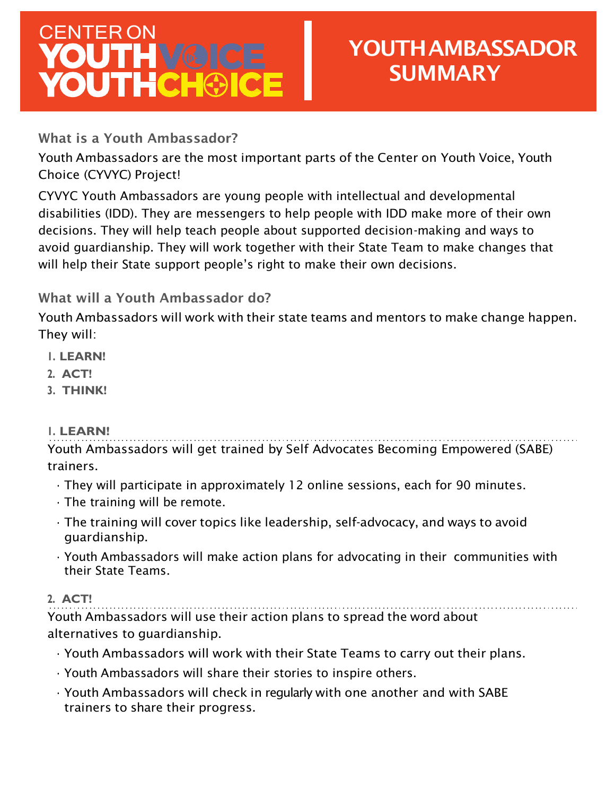## CENTER ON<br>YOUTH V@ICE **YOUTHCHOICE**

## YOUTHAMBASSADOR **SUMMARY**

What is a Youth Ambassador?

Youth Ambassadors are the most important parts of the Center on Youth Voice, Youth Choice (CYVYC) Project!

CYVYC Youth Ambassadors are young people with intellectual and developmental disabilities (IDD). They are messengers to help people with IDD make more of their own decisions. They will help teach people about supported decision-making and ways to avoid guardianship. They will work together with their State Team to make changes that will help their State support people's right to make their own decisions.

What will a Youth Ambassador do?

Youth Ambassadors will work with their state teams and mentors to make change happen. They will:

- **1. LEARN!**
- **2. ACT!**
- **3. THINK!**

## **1. LEARN!**

Youth Ambassadors will get trained by Self Advocates Becoming Empowered (SABE) trainers.

- They will participate in approximately 12 online sessions, each for 90 minutes.
- The training will be remote.
- The training will cover topics like leadership, self-advocacy, and ways to avoid guardianship.
- Youth Ambassadors will make action plans for advocating in their communities with their State Teams.

## **2. ACT!**

Youth Ambassadors will use their action plans to spread the word about alternatives to guardianship.

- Youth Ambassadors will work with their State Teams to carry out their plans.
- Youth Ambassadors will share their stories to inspire others.
- Youth Ambassadors will check in regularly with one another and with SABE trainers to share their progress.